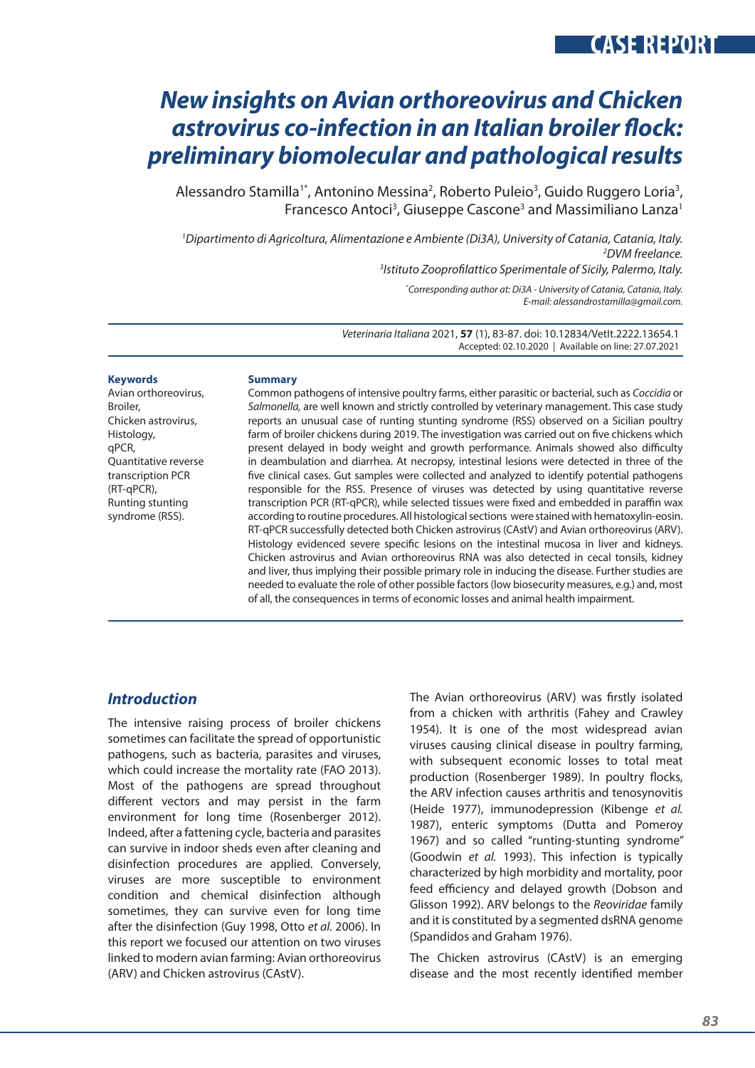# **CASE REPORT**

# *New insights on Avian orthoreovirus and Chicken astrovirus co-infection in an Italian broiler flock: preliminary biomolecular and pathological results*

Alessandro Stamilla<sup>1\*</sup>, Antonino Messina<sup>2</sup>, Roberto Puleio<sup>3</sup>, Guido Ruggero Loria<sup>3</sup>, Francesco Antoci<sup>3</sup>, Giuseppe Cascone<sup>3</sup> and Massimiliano Lanza<sup>1</sup>

*1 Dipartimento di Agricoltura, Alimentazione e Ambiente (Di3A), University of Catania, Catania, Italy. 2 DVM freelance.*

*3 Istituto Zooprofilattico Sperimentale of Sicily, Palermo, Italy.*

*\* Corresponding author at: Di3A - University of Catania, Catania, Italy. E-mail: alessandrostamilla@gmail.com.*

*Veterinaria Italiana* 2021, **57** (1), 83-87. doi: 10.12834/VetIt.2222.13654.1 Accepted: 02.10.2020 | Available on line: 27.07.2021

#### **Keywords**

Avian orthoreovirus, Broiler, Chicken astrovirus, Histology, qPCR, Quantitative reverse transcription PCR (RT-qPCR), Runting stunting syndrome (RSS).

#### **Summary**

Common pathogens of intensive poultry farms, either parasitic or bacterial, such as *Coccidia* or *Salmonella,* are well known and strictly controlled by veterinary management. This case study reports an unusual case of runting stunting syndrome (RSS) observed on a Sicilian poultry farm of broiler chickens during 2019. The investigation was carried out on five chickens which present delayed in body weight and growth performance. Animals showed also difficulty in deambulation and diarrhea. At necropsy, intestinal lesions were detected in three of the five clinical cases. Gut samples were collected and analyzed to identify potential pathogens responsible for the RSS. Presence of viruses was detected by using quantitative reverse transcription PCR (RT-qPCR), while selected tissues were fixed and embedded in paraffin wax according to routine procedures. All histological sections were stained with hematoxylin-eosin. RT-qPCR successfully detected both Chicken astrovirus (CAstV) and Avian orthoreovirus (ARV). Histology evidenced severe specific lesions on the intestinal mucosa in liver and kidneys. Chicken astrovirus and Avian orthoreovirus RNA was also detected in cecal tonsils, kidney and liver, thus implying their possible primary role in inducing the disease. Further studies are needed to evaluate the role of other possible factors (low biosecurity measures, e.g.) and, most of all, the consequences in terms of economic losses and animal health impairment.

### *Introduction*

The intensive raising process of broiler chickens sometimes can facilitate the spread of opportunistic pathogens, such as bacteria, parasites and viruses, which could increase the mortality rate (FAO 2013). Most of the pathogens are spread throughout different vectors and may persist in the farm environment for long time (Rosenberger 2012). Indeed, after a fattening cycle, bacteria and parasites can survive in indoor sheds even after cleaning and disinfection procedures are applied. Conversely, viruses are more susceptible to environment condition and chemical disinfection although sometimes, they can survive even for long time after the disinfection (Guy 1998, Otto *et al.* 2006). In this report we focused our attention on two viruses linked to modern avian farming: Avian orthoreovirus (ARV) and Chicken astrovirus (CAstV).

The Avian orthoreovirus (ARV) was firstly isolated from a chicken with arthritis (Fahey and Crawley 1954). It is one of the most widespread avian viruses causing clinical disease in poultry farming, with subsequent economic losses to total meat production (Rosenberger 1989). In poultry flocks, the ARV infection causes arthritis and tenosynovitis (Heide 1977), immunodepression (Kibenge *et al.* 1987), enteric symptoms (Dutta and Pomeroy 1967) and so called "runting-stunting syndrome" (Goodwin *et al.* 1993). This infection is typically characterized by high morbidity and mortality, poor feed efficiency and delayed growth (Dobson and Glisson 1992). ARV belongs to the *Reoviridae* family and it is constituted by a segmented dsRNA genome (Spandidos and Graham 1976).

The Chicken astrovirus (CAstV) is an emerging disease and the most recently identified member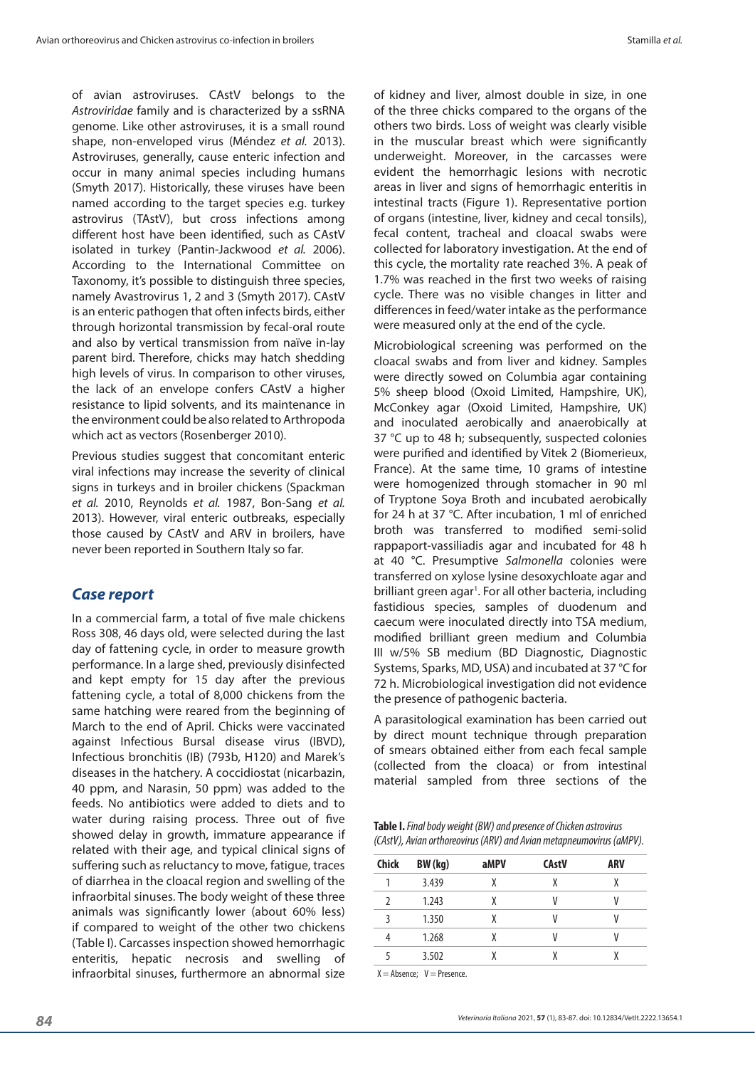of avian astroviruses. CAstV belongs to the *Astroviridae* family and is characterized by a ssRNA genome. Like other astroviruses, it is a small round shape, non-enveloped virus (Méndez *et al.* 2013). Astroviruses, generally, cause enteric infection and occur in many animal species including humans (Smyth 2017). Historically, these viruses have been named according to the target species e.g. turkey astrovirus (TAstV), but cross infections among different host have been identified, such as CAstV isolated in turkey (Pantin-Jackwood *et al.* 2006). According to the International Committee on Taxonomy, it's possible to distinguish three species, namely Avastrovirus 1, 2 and 3 (Smyth 2017). CAstV is an enteric pathogen that often infects birds, either through horizontal transmission by fecal-oral route and also by vertical transmission from naïve in-lay parent bird. Therefore, chicks may hatch shedding high levels of virus. In comparison to other viruses, the lack of an envelope confers CAstV a higher resistance to lipid solvents, and its maintenance in the environment could be also related to Arthropoda which act as vectors (Rosenberger 2010).

Previous studies suggest that concomitant enteric viral infections may increase the severity of clinical signs in turkeys and in broiler chickens (Spackman *et al.* 2010, Reynolds *et al.* 1987, Bon-Sang *et al.* 2013). However, viral enteric outbreaks, especially those caused by CAstV and ARV in broilers, have never been reported in Southern Italy so far.

### *Case report*

In a commercial farm, a total of five male chickens Ross 308, 46 days old, were selected during the last day of fattening cycle, in order to measure growth performance. In a large shed, previously disinfected and kept empty for 15 day after the previous fattening cycle, a total of 8,000 chickens from the same hatching were reared from the beginning of March to the end of April. Chicks were vaccinated against Infectious Bursal disease virus (IBVD), Infectious bronchitis (IB) (793b, H120) and Marek's diseases in the hatchery. A coccidiostat (nicarbazin, 40 ppm, and Narasin, 50 ppm) was added to the feeds. No antibiotics were added to diets and to water during raising process. Three out of five showed delay in growth, immature appearance if related with their age, and typical clinical signs of suffering such as reluctancy to move, fatigue, traces of diarrhea in the cloacal region and swelling of the infraorbital sinuses. The body weight of these three animals was significantly lower (about 60% less) if compared to weight of the other two chickens (Table I). Carcasses inspection showed hemorrhagic enteritis, hepatic necrosis and swelling of infraorbital sinuses, furthermore an abnormal size of kidney and liver, almost double in size, in one of the three chicks compared to the organs of the others two birds. Loss of weight was clearly visible in the muscular breast which were significantly underweight. Moreover, in the carcasses were evident the hemorrhagic lesions with necrotic areas in liver and signs of hemorrhagic enteritis in intestinal tracts (Figure 1). Representative portion of organs (intestine, liver, kidney and cecal tonsils), fecal content, tracheal and cloacal swabs were collected for laboratory investigation. At the end of this cycle, the mortality rate reached 3%. A peak of 1.7% was reached in the first two weeks of raising cycle. There was no visible changes in litter and differences in feed/water intake as the performance were measured only at the end of the cycle.

Microbiological screening was performed on the cloacal swabs and from liver and kidney. Samples were directly sowed on Columbia agar containing 5% sheep blood (Oxoid Limited, Hampshire, UK), McConkey agar (Oxoid Limited, Hampshire, UK) and inoculated aerobically and anaerobically at 37 °C up to 48 h; subsequently, suspected colonies were purified and identified by Vitek 2 (Biomerieux, France). At the same time, 10 grams of intestine were homogenized through stomacher in 90 ml of Tryptone Soya Broth and incubated aerobically for 24 h at 37 °C. After incubation, 1 ml of enriched broth was transferred to modified semi-solid rappaport-vassiliadis agar and incubated for 48 h at 40 °C. Presumptive *Salmonella* colonies were transferred on xylose lysine desoxychloate agar and brilliant green agar<sup>1</sup>. For all other bacteria, including fastidious species, samples of duodenum and caecum were inoculated directly into TSA medium, modified brilliant green medium and Columbia III w/5% SB medium (BD Diagnostic, Diagnostic Systems, Sparks, MD, USA) and incubated at 37 °C for 72 h. Microbiological investigation did not evidence the presence of pathogenic bacteria.

A parasitological examination has been carried out by direct mount technique through preparation of smears obtained either from each fecal sample (collected from the cloaca) or from intestinal material sampled from three sections of the

**Table I.** *Final body weight (BW) and presence of Chicken astrovirus (CAstV), Avian orthoreovirus (ARV) and Avian metapneumovirus (aMPV).*

| BW (kg) | aMPV | <b>CAstV</b> | ARV |  |
|---------|------|--------------|-----|--|
| 3.439   |      | χ            | χ   |  |
| 1.243   |      |              |     |  |
| 1.350   |      |              |     |  |
| 1.268   |      |              |     |  |
| 3.502   |      |              |     |  |
|         |      |              |     |  |

 $X =$  Absence;  $V =$  Presence.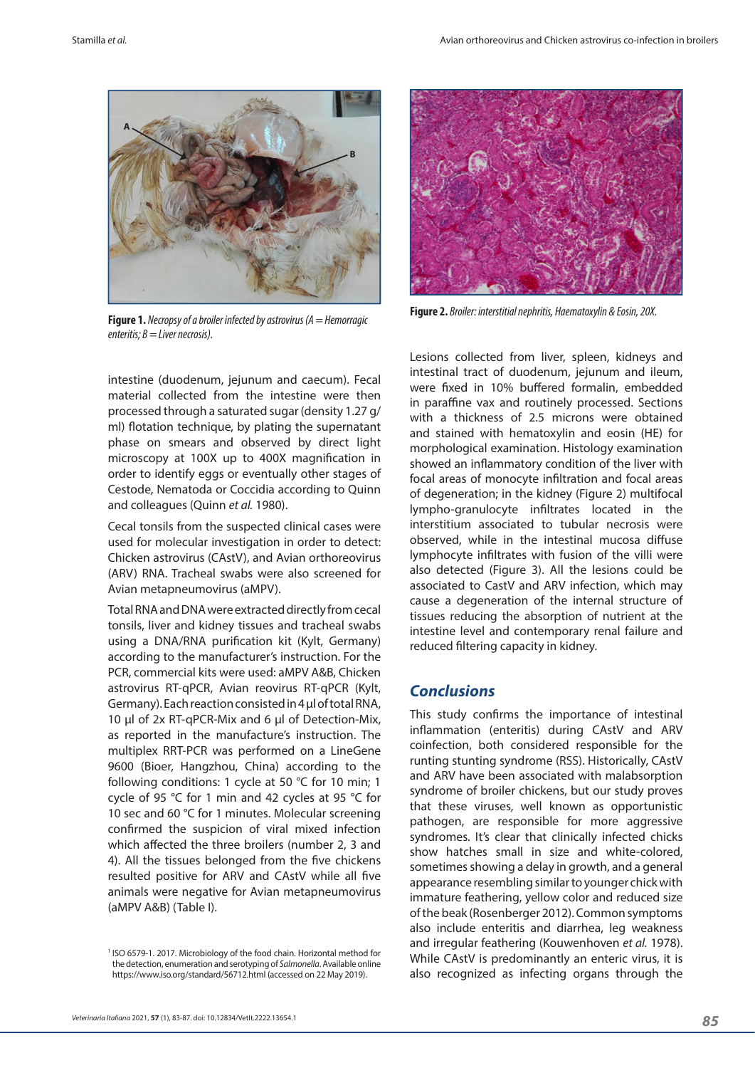

**Figure 1.** *Necropsy of a broiler infected by astrovirus (A = Hemorragic enteritis; B = Liver necrosis).*



**Figure 2.** *Broiler: interstitial nephritis, Haematoxylin & Eosin, 20X.*

intestine (duodenum, jejunum and caecum). Fecal material collected from the intestine were then processed through a saturated sugar (density 1.27 g/ ml) flotation technique, by plating the supernatant phase on smears and observed by direct light microscopy at 100X up to 400X magnification in order to identify eggs or eventually other stages of Cestode, Nematoda or Coccidia according to Quinn and colleagues (Quinn *et al.* 1980).

Cecal tonsils from the suspected clinical cases were used for molecular investigation in order to detect: Chicken astrovirus (CAstV), and Avian orthoreovirus (ARV) RNA. Tracheal swabs were also screened for Avian metapneumovirus (aMPV).

Total RNA and DNA were extracted directly from cecal tonsils, liver and kidney tissues and tracheal swabs using a DNA/RNA purification kit (Kylt, Germany) according to the manufacturer's instruction. For the PCR, commercial kits were used: aMPV A&B, Chicken astrovirus RT-qPCR, Avian reovirus RT-qPCR (Kylt, Germany). Each reaction consisted in 4 µl of total RNA, 10 µl of 2x RT-qPCR-Mix and 6 µl of Detection-Mix, as reported in the manufacture's instruction. The multiplex RRT-PCR was performed on a LineGene 9600 (Bioer, Hangzhou, China) according to the following conditions: 1 cycle at 50 °C for 10 min; 1 cycle of 95 °C for 1 min and 42 cycles at 95 °C for 10 sec and 60 °C for 1 minutes. Molecular screening confirmed the suspicion of viral mixed infection which affected the three broilers (number 2, 3 and 4). All the tissues belonged from the five chickens resulted positive for ARV and CAstV while all five animals were negative for Avian metapneumovirus (aMPV A&B) (Table I).

Lesions collected from liver, spleen, kidneys and intestinal tract of duodenum, jejunum and ileum, were fixed in 10% buffered formalin, embedded in paraffine vax and routinely processed. Sections with a thickness of 2.5 microns were obtained and stained with hematoxylin and eosin (HE) for morphological examination. Histology examination showed an inflammatory condition of the liver with focal areas of monocyte infiltration and focal areas of degeneration; in the kidney (Figure 2) multifocal lympho-granulocyte infiltrates located in the interstitium associated to tubular necrosis were observed, while in the intestinal mucosa diffuse lymphocyte infiltrates with fusion of the villi were also detected (Figure 3). All the lesions could be associated to CastV and ARV infection, which may cause a degeneration of the internal structure of tissues reducing the absorption of nutrient at the intestine level and contemporary renal failure and reduced filtering capacity in kidney.

## *Conclusions*

This study confirms the importance of intestinal inflammation (enteritis) during CAstV and ARV coinfection, both considered responsible for the runting stunting syndrome (RSS). Historically, CAstV and ARV have been associated with malabsorption syndrome of broiler chickens, but our study proves that these viruses, well known as opportunistic pathogen, are responsible for more aggressive syndromes. It's clear that clinically infected chicks show hatches small in size and white-colored, sometimes showing a delay in growth, and a general appearance resembling similar to younger chick with immature feathering, yellow color and reduced size of the beak (Rosenberger 2012). Common symptoms also include enteritis and diarrhea, leg weakness and irregular feathering (Kouwenhoven *et al.* 1978). While CAstV is predominantly an enteric virus, it is also recognized as infecting organs through the

<sup>&</sup>lt;sup>1</sup> ISO 6579-1. 2017. Microbiology of the food chain. Horizontal method for the detection, enumeration and serotyping of *Salmonella*. Available online https://www.iso.org/standard/56712.html (accessed on 22 May 2019).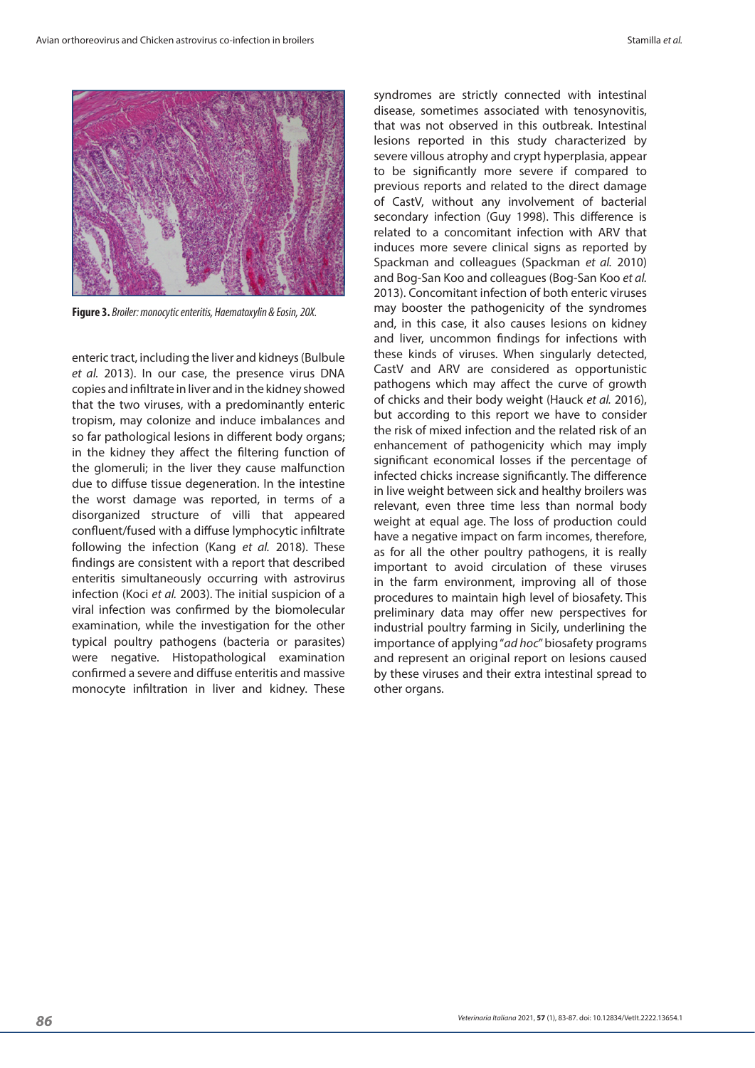

**Figure 3.** *Broiler: monocytic enteritis, Haematoxylin & Eosin, 20X.*

enteric tract, including the liver and kidneys (Bulbule *et al.* 2013). In our case, the presence virus DNA copies and infiltrate in liver and in the kidney showed that the two viruses, with a predominantly enteric tropism, may colonize and induce imbalances and so far pathological lesions in different body organs; in the kidney they affect the filtering function of the glomeruli; in the liver they cause malfunction due to diffuse tissue degeneration. In the intestine the worst damage was reported, in terms of a disorganized structure of villi that appeared confluent/fused with a diffuse lymphocytic infiltrate following the infection (Kang *et al.* 2018). These findings are consistent with a report that described enteritis simultaneously occurring with astrovirus infection (Koci *et al.* 2003). The initial suspicion of a viral infection was confirmed by the biomolecular examination, while the investigation for the other typical poultry pathogens (bacteria or parasites) were negative. Histopathological examination confirmed a severe and diffuse enteritis and massive monocyte infiltration in liver and kidney. These

syndromes are strictly connected with intestinal disease, sometimes associated with tenosynovitis, that was not observed in this outbreak. Intestinal lesions reported in this study characterized by severe villous atrophy and crypt hyperplasia, appear to be significantly more severe if compared to previous reports and related to the direct damage of CastV, without any involvement of bacterial secondary infection (Guy 1998). This difference is related to a concomitant infection with ARV that induces more severe clinical signs as reported by Spackman and colleagues (Spackman *et al.* 2010) and Bog-San Koo and colleagues (Bog-San Koo *et al.*  2013). Concomitant infection of both enteric viruses may booster the pathogenicity of the syndromes and, in this case, it also causes lesions on kidney and liver, uncommon findings for infections with these kinds of viruses. When singularly detected, CastV and ARV are considered as opportunistic pathogens which may affect the curve of growth of chicks and their body weight (Hauck *et al.* 2016), but according to this report we have to consider the risk of mixed infection and the related risk of an enhancement of pathogenicity which may imply significant economical losses if the percentage of infected chicks increase significantly. The difference in live weight between sick and healthy broilers was relevant, even three time less than normal body weight at equal age. The loss of production could have a negative impact on farm incomes, therefore, as for all the other poultry pathogens, it is really important to avoid circulation of these viruses in the farm environment, improving all of those procedures to maintain high level of biosafety. This preliminary data may offer new perspectives for industrial poultry farming in Sicily, underlining the importance of applying "*ad hoc*" biosafety programs and represent an original report on lesions caused by these viruses and their extra intestinal spread to other organs.